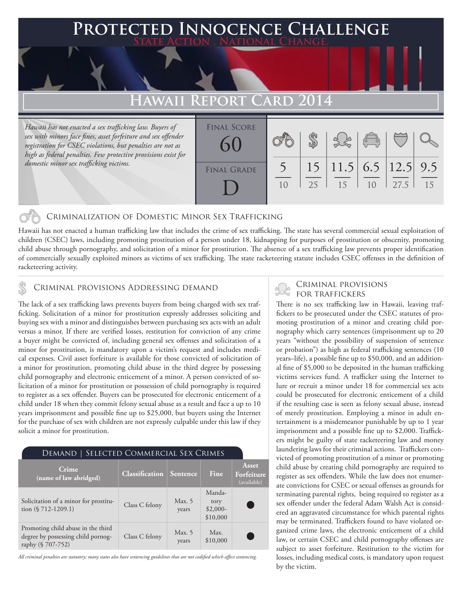# **PTED INNOCENCE CHALLENGE State Action . National Change.**

# **REPORT CARD 201**

*Hawaii has not enacted a sex trafficking law. Buyers of sex with minors face fines, asset forfeiture and sex offender registration for CSEC violations, but penalties are not as high as federal penalties. Few protective provisions exist for domestic minor sex trafficking victims.*

| <b>FINAL SCORE</b><br>60 |    |                                      | $\begin{pmatrix} 0 & 0 \\ 0 & 0 \end{pmatrix}$ |      |    |
|--------------------------|----|--------------------------------------|------------------------------------------------|------|----|
| <b>FINAL GRADE</b>       | 25 | $15$   11.5   6.5   12.5   9.5<br>15 | 10                                             | 27.5 | 15 |

## Criminalization of Domestic Minor Sex Trafficking

Hawaii has not enacted a human trafficking law that includes the crime of sex trafficking. The state has several commercial sexual exploitation of children (CSEC) laws, including promoting prostitution of a person under 18, kidnapping for purposes of prostitution or obscenity, promoting child abuse through pornography, and solicitation of a minor for prostitution. The absence of a sex trafficking law prevents proper identification of commercially sexually exploited minors as victims of sex trafficking. The state racketeering statute includes CSEC offenses in the definition of racketeering activity.

# CRIMINAL PROVISIONS ADDRESSING DEMAND

The lack of a sex trafficking laws prevents buyers from being charged with sex trafficking. Solicitation of a minor for prostitution expressly addresses soliciting and buying sex with a minor and distinguishes between purchasing sex acts with an adult versus a minor. If there are verified losses, restitution for conviction of any crime a buyer might be convicted of, including general sex offenses and solicitation of a minor for prostitution, is mandatory upon a victim's request and includes medical expenses. Civil asset forfeiture is available for those convicted of solicitation of a minor for prostitution, promoting child abuse in the third degree by possessing child pornography and electronic enticement of a minor. A person convicted of solicitation of a minor for prostitution or possession of child pornography is required to register as a sex offender. Buyers can be prosecuted for electronic enticement of a child under 18 when they commit felony sexual abuse as a result and face a up to 10 years imprisonment and possible fine up to \$25,000, but buyers using the Internet for the purchase of sex with children are not expressly culpable under this law if they solicit a minor for prostitution.

| DEMAND   SELECTED COMMERCIAL SEX CRIMES                                                       |                                  |                   |                                         |                                           |  |  |  |
|-----------------------------------------------------------------------------------------------|----------------------------------|-------------------|-----------------------------------------|-------------------------------------------|--|--|--|
| Crime<br>(name of law abridged)                                                               | <b>Classification</b>   Sentence |                   | Fine                                    | <b>Asset</b><br>Forfeiture<br>(available) |  |  |  |
| Solicitation of a minor for prostitu-<br>tion $(\$ 712-1209.1)$                               | Class C felony                   | Max. $5$<br>years | Manda-<br>tory<br>$$2,000-$<br>\$10,000 |                                           |  |  |  |
| Promoting child abuse in the third<br>degree by possessing child pornog-<br>raphy (§ 707-752) | Class C felony                   | Max. $5$<br>years | Max.<br>\$10,000                        |                                           |  |  |  |

*All criminal penalties are statutory; many states also have sentencing guidelines that are not codified which affect sentencing.* 

# Criminal provisions

There is no sex trafficking law in Hawaii, leaving traffickers to be prosecuted under the CSEC statutes of promoting prostitution of a minor and creating child pornography which carry sentences (imprisonment up to 20 years "without the possibility of suspension of sentence or probation") as high as federal trafficking sentences (10 years–life), a possible fine up to \$50,000, and an additional fine of \$5,000 to be deposited in the human trafficking victims services fund. A trafficker using the Internet to lure or recruit a minor under 18 for commercial sex acts could be prosecuted for electronic enticement of a child if the resulting case is seen as felony sexual abuse, instead of merely prostitution. Employing a minor in adult entertainment is a misdemeanor punishable by up to 1 year imprisonment and a possible fine up to \$2,000. Traffickers might be guilty of state racketeering law and money laundering laws for their criminal actions. Traffickers convicted of promoting prostitution of a minor or promoting child abuse by creating child pornography are required to register as sex offenders. While the law does not enumerate convictions for CSEC or sexual offenses as grounds for terminating parental rights, being required to register as a sex offender under the federal Adam Walsh Act is considered an aggravated circumstance for which parental rights may be terminated. Traffickers found to have violated organized crime laws, the electronic enticement of a child law, or certain CSEC and child pornography offenses are subject to asset forfeiture. Restitution to the victim for losses, including medical costs, is mandatory upon request by the victim.